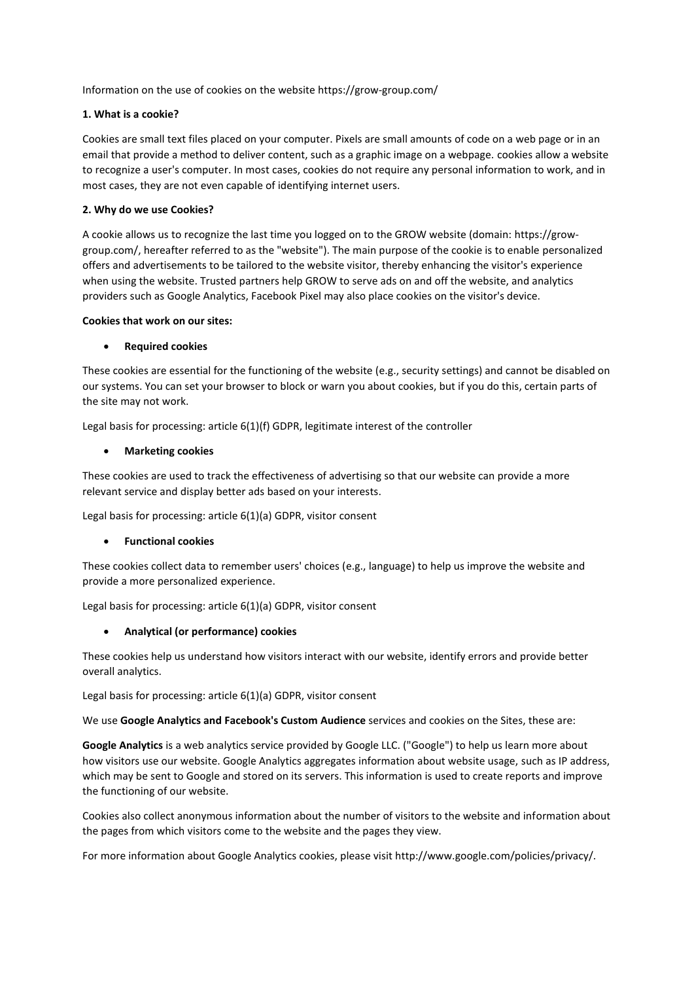Information on the use of cookies on the website https://grow-group.com/

## **1. What is a cookie?**

Cookies are small text files placed on your computer. Pixels are small amounts of code on a web page or in an email that provide a method to deliver content, such as a graphic image on a webpage. cookies allow a website to recognize a user's computer. In most cases, cookies do not require any personal information to work, and in most cases, they are not even capable of identifying internet users.

### **2. Why do we use Cookies?**

A cookie allows us to recognize the last time you logged on to the GROW website (domain: https://growgroup.com/, hereafter referred to as the "website"). The main purpose of the cookie is to enable personalized offers and advertisements to be tailored to the website visitor, thereby enhancing the visitor's experience when using the website. Trusted partners help GROW to serve ads on and off the website, and analytics providers such as Google Analytics, Facebook Pixel may also place cookies on the visitor's device.

#### **Cookies that work on our sites:**

## • **Required cookies**

These cookies are essential for the functioning of the website (e.g., security settings) and cannot be disabled on our systems. You can set your browser to block or warn you about cookies, but if you do this, certain parts of the site may not work.

Legal basis for processing: article 6(1)(f) GDPR, legitimate interest of the controller

## • **Marketing cookies**

These cookies are used to track the effectiveness of advertising so that our website can provide a more relevant service and display better ads based on your interests.

Legal basis for processing: article 6(1)(a) GDPR, visitor consent

#### • **Functional cookies**

These cookies collect data to remember users' choices (e.g., language) to help us improve the website and provide a more personalized experience.

Legal basis for processing: article 6(1)(a) GDPR, visitor consent

# • **Analytical (or performance) cookies**

These cookies help us understand how visitors interact with our website, identify errors and provide better overall analytics.

Legal basis for processing: article 6(1)(a) GDPR, visitor consent

We use **Google Analytics and Facebook's Custom Audience** services and cookies on the Sites, these are:

**Google Analytics** is a web analytics service provided by Google LLC. ("Google") to help us learn more about how visitors use our website. Google Analytics aggregates information about website usage, such as IP address, which may be sent to Google and stored on its servers. This information is used to create reports and improve the functioning of our website.

Cookies also collect anonymous information about the number of visitors to the website and information about the pages from which visitors come to the website and the pages they view.

For more information about Google Analytics cookies, please visit http://www.google.com/policies/privacy/.